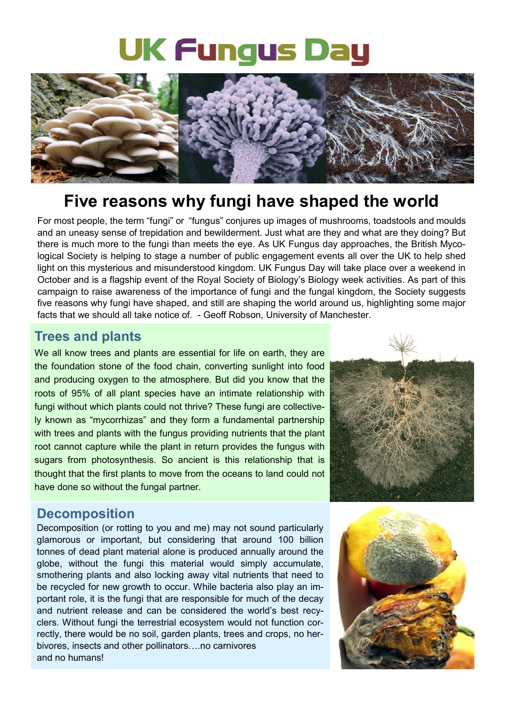# **UK Fungus Day**



# **Five reasons why fungi have shaped the world**

For most people, the term "fungi" or "fungus" conjures up images of mushrooms, toadstools and moulds and an uneasy sense of trepidation and bewilderment. Just what are they and what are they doing? But there is much more to the fungi than meets the eye. As UK Fungus day approaches, the British Mycological Society is helping to stage a number of public engagement events all over the UK to help shed light on this mysterious and misunderstood kingdom. UK Fungus Day will take place over a weekend in October and is a flagship event of the Royal Society of Biology's Biology week activities. As part of this campaign to raise awareness of the importance of fungi and the fungal kingdom, the Society suggests five reasons why fungi have shaped, and still are shaping the world around us, highlighting some major facts that we should all take notice of. - Geoff Robson, University of Manchester.

#### **Trees and plants**

We all know trees and plants are essential for life on earth, they are the foundation stone of the food chain, converting sunlight into food and producing oxygen to the atmosphere. But did you know that the roots of 95% of all plant species have an intimate relationship with fungi without which plants could not thrive? These fungi are collectively known as "mycorrhizas" and they form a fundamental partnership with trees and plants with the fungus providing nutrients that the plant root cannot capture while the plant in return provides the fungus with sugars from photosynthesis. So ancient is this relationship that is thought that the first plants to move from the oceans to land could not have done so without the fungal partner.



#### **Decomposition**

Decomposition (or rotting to you and me) may not sound particularly glamorous or important, but considering that around 100 billion tonnes of dead plant material alone is produced annually around the globe, without the fungi this material would simply accumulate, smothering plants and also locking away vital nutrients that need to be recycled for new growth to occur. While bacteria also play an important role, it is the fungi that are responsible for much of the decay and nutrient release and can be considered the world's best recyclers. Without fungi the terrestrial ecosystem would not function correctly, there would be no soil, garden plants, trees and crops, no herbivores, insects and other pollinators….no carnivores and no humans!